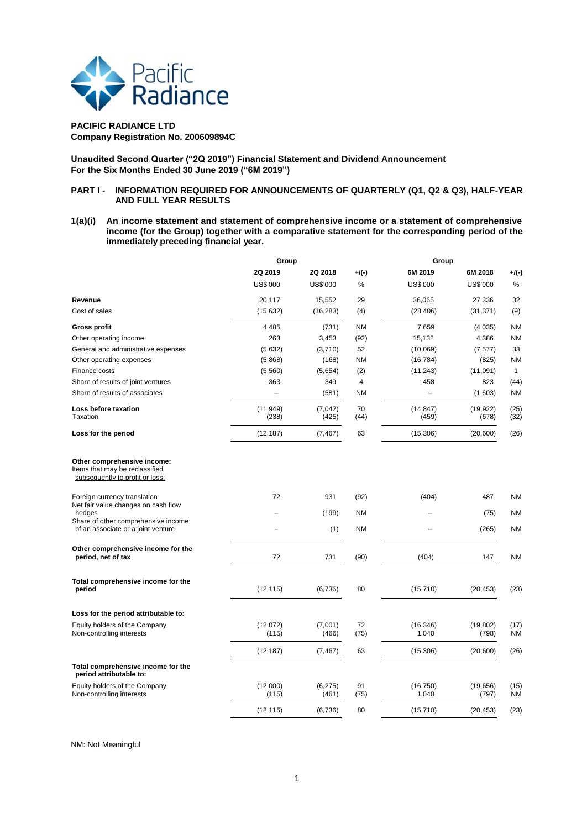

## **PACIFIC RADIANCE LTD Company Registration No. 200609894C**

**Unaudited Second Quarter ("2Q 2019") Financial Statement and Dividend Announcement For the Six Months Ended 30 June 2019 ("6M 2019")**

# **PART I - INFORMATION REQUIRED FOR ANNOUNCEMENTS OF QUARTERLY (Q1, Q2 & Q3), HALF-YEAR AND FULL YEAR RESULTS**

**1(a)(i) An income statement and statement of comprehensive income or a statement of comprehensive income (for the Group) together with a comparative statement for the corresponding period of the immediately preceding financial year.**

|                                                                                                  | Group                    |                   | Group      |                    |                    |                   |
|--------------------------------------------------------------------------------------------------|--------------------------|-------------------|------------|--------------------|--------------------|-------------------|
|                                                                                                  | 2Q 2019                  | 2Q 2018           | $+$ /(-)   | 6M 2019            | 6M 2018            | $+$ /(-)          |
|                                                                                                  | US\$'000                 | US\$'000          | %          | <b>US\$'000</b>    | US\$'000           | $\%$              |
| Revenue                                                                                          | 20,117                   | 15,552            | 29         | 36,065             | 27,336             | 32                |
| Cost of sales                                                                                    | (15, 632)                | (16, 283)         | (4)        | (28, 406)          | (31, 371)          | (9)               |
| <b>Gross profit</b>                                                                              | 4,485                    | (731)             | <b>NM</b>  | 7,659              | (4,035)            | ΝM                |
| Other operating income                                                                           | 263                      | 3,453             | (92)       | 15,132             | 4,386              | <b>NM</b>         |
| General and administrative expenses                                                              | (5,632)                  | (3,710)           | 52         | (10,069)           | (7, 577)           | 33                |
| Other operating expenses                                                                         | (5,868)                  | (168)             | <b>NM</b>  | (16, 784)          | (825)              | <b>NM</b>         |
| Finance costs                                                                                    | (5,560)                  | (5,654)           | (2)        | (11, 243)          | (11,091)           | $\mathbf{1}$      |
| Share of results of joint ventures                                                               | 363                      | 349               | 4          | 458                | 823                | (44)              |
| Share of results of associates                                                                   | $\overline{\phantom{0}}$ | (581)             | <b>NM</b>  | ÷                  | (1,603)            | <b>NM</b>         |
| Loss before taxation                                                                             | (11, 949)                | (7,042)           | 70         | (14, 847)          | (19, 922)          | (25)              |
| Taxation                                                                                         | (238)                    | (425)             | (44)       | (459)              | (678)              | (32)              |
| Loss for the period                                                                              | (12, 187)                | (7, 467)          | 63         | (15,306)           | (20,600)           | (26)              |
| Other comprehensive income:<br>Items that may be reclassified<br>subsequently to profit or loss: |                          |                   |            |                    |                    |                   |
| Foreign currency translation                                                                     | 72                       | 931               | (92)       | (404)              | 487                | <b>NM</b>         |
| Net fair value changes on cash flow<br>hedges                                                    |                          | (199)             | <b>NM</b>  |                    | (75)               | ΝM                |
| Share of other comprehensive income<br>of an associate or a joint venture                        |                          | (1)               | <b>NM</b>  |                    | (265)              | <b>NM</b>         |
| Other comprehensive income for the<br>period, net of tax                                         | 72                       | 731               | (90)       | (404)              | 147                | <b>NM</b>         |
| Total comprehensive income for the<br>period                                                     | (12, 115)                | (6,736)           | 80         | (15, 710)          | (20, 453)          | (23)              |
| Loss for the period attributable to:                                                             |                          |                   |            |                    |                    |                   |
| Equity holders of the Company<br>Non-controlling interests                                       | (12,072)<br>(115)        | (7,001)<br>(466)  | 72<br>(75) | (16, 346)<br>1,040 | (19, 802)<br>(798) | (17)<br><b>NM</b> |
|                                                                                                  | (12, 187)                | (7, 467)          | 63         | (15,306)           | (20, 600)          | (26)              |
| Total comprehensive income for the<br>period attributable to:                                    |                          |                   |            |                    |                    |                   |
| Equity holders of the Company<br>Non-controlling interests                                       | (12,000)<br>(115)        | (6, 275)<br>(461) | 91<br>(75) | (16, 750)<br>1,040 | (19, 656)<br>(797) | (15)<br><b>NM</b> |
|                                                                                                  | (12, 115)                | (6,736)           | 80         | (15, 710)          | (20, 453)          | (23)              |
|                                                                                                  |                          |                   |            |                    |                    |                   |

NM: Not Meaningful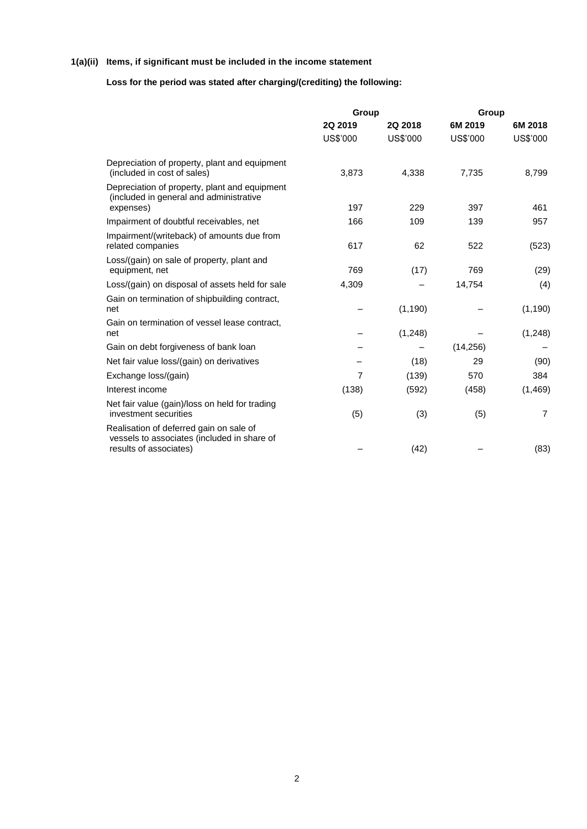# **1(a)(ii) Items, if significant must be included in the income statement**

# **Loss for the period was stated after charging/(crediting) the following:**

|                                                                                                                  | Group               |                     | Group               |                     |  |  |
|------------------------------------------------------------------------------------------------------------------|---------------------|---------------------|---------------------|---------------------|--|--|
|                                                                                                                  | 2Q 2019<br>US\$'000 | 2Q 2018<br>US\$'000 | 6M 2019<br>US\$'000 | 6M 2018<br>US\$'000 |  |  |
|                                                                                                                  |                     |                     |                     |                     |  |  |
| Depreciation of property, plant and equipment<br>(included in cost of sales)                                     | 3,873               | 4,338               | 7,735               | 8,799               |  |  |
| Depreciation of property, plant and equipment<br>(included in general and administrative<br>expenses)            | 197                 | 229                 | 397                 | 461                 |  |  |
| Impairment of doubtful receivables, net                                                                          | 166                 | 109                 | 139                 | 957                 |  |  |
| Impairment/(writeback) of amounts due from                                                                       |                     |                     |                     |                     |  |  |
| related companies                                                                                                | 617                 | 62                  | 522                 | (523)               |  |  |
| Loss/(gain) on sale of property, plant and<br>equipment, net                                                     | 769                 | (17)                | 769                 | (29)                |  |  |
| Loss/(gain) on disposal of assets held for sale                                                                  | 4,309               |                     | 14,754              | (4)                 |  |  |
| Gain on termination of shipbuilding contract,<br>net                                                             |                     | (1, 190)            |                     | (1, 190)            |  |  |
| Gain on termination of vessel lease contract,<br>net                                                             |                     | (1,248)             |                     | (1,248)             |  |  |
| Gain on debt forgiveness of bank loan                                                                            |                     |                     | (14, 256)           |                     |  |  |
| Net fair value loss/(gain) on derivatives                                                                        |                     | (18)                | 29                  | (90)                |  |  |
| Exchange loss/(gain)                                                                                             | $\overline{7}$      | (139)               | 570                 | 384                 |  |  |
| Interest income                                                                                                  | (138)               | (592)               | (458)               | (1, 469)            |  |  |
| Net fair value (gain)/loss on held for trading<br>investment securities                                          | (5)                 | (3)                 | (5)                 | $\overline{7}$      |  |  |
| Realisation of deferred gain on sale of<br>vessels to associates (included in share of<br>results of associates) |                     | (42)                |                     | (83)                |  |  |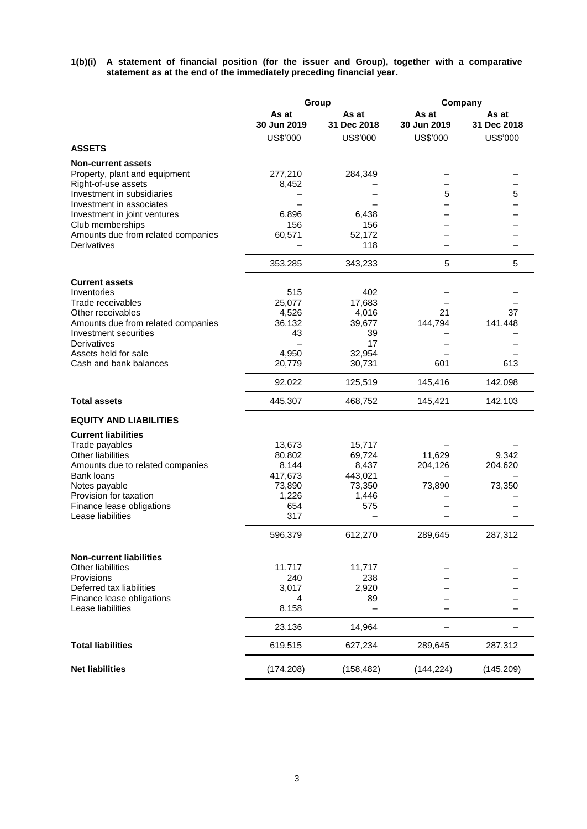**1(b)(i) A statement of financial position (for the issuer and Group), together with a comparative statement as at the end of the immediately preceding financial year.**

|                                                          | Group           |                 | Company     |             |  |
|----------------------------------------------------------|-----------------|-----------------|-------------|-------------|--|
|                                                          | As at           | As at           | As at       | As at       |  |
|                                                          | 30 Jun 2019     | 31 Dec 2018     | 30 Jun 2019 | 31 Dec 2018 |  |
|                                                          | US\$'000        | US\$'000        | US\$'000    | US\$'000    |  |
| <b>ASSETS</b>                                            |                 |                 |             |             |  |
| <b>Non-current assets</b>                                |                 |                 |             |             |  |
| Property, plant and equipment                            | 277,210         | 284,349         |             |             |  |
| Right-of-use assets                                      | 8,452           |                 |             |             |  |
| Investment in subsidiaries                               |                 |                 | 5           | 5           |  |
| Investment in associates<br>Investment in joint ventures | 6,896           | 6,438           |             |             |  |
| Club memberships                                         | 156             | 156             |             |             |  |
| Amounts due from related companies                       | 60,571          | 52,172          |             |             |  |
| Derivatives                                              |                 | 118             |             |             |  |
|                                                          | 353,285         | 343,233         | 5           | 5           |  |
|                                                          |                 |                 |             |             |  |
| <b>Current assets</b><br>Inventories                     | 515             | 402             |             |             |  |
| Trade receivables                                        | 25,077          | 17,683          |             |             |  |
| Other receivables                                        | 4,526           | 4,016           | 21          | 37          |  |
| Amounts due from related companies                       | 36,132          | 39,677          | 144,794     | 141,448     |  |
| Investment securities                                    | 43              | 39              |             |             |  |
| Derivatives                                              |                 | 17              |             |             |  |
| Assets held for sale                                     | 4,950           | 32,954          |             |             |  |
| Cash and bank balances                                   | 20,779          | 30,731          | 601         | 613         |  |
|                                                          | 92,022          | 125,519         | 145,416     | 142,098     |  |
| <b>Total assets</b>                                      | 445,307         | 468,752         | 145,421     | 142,103     |  |
| <b>EQUITY AND LIABILITIES</b>                            |                 |                 |             |             |  |
| <b>Current liabilities</b>                               |                 |                 |             |             |  |
| Trade payables                                           | 13,673          | 15,717          |             |             |  |
| <b>Other liabilities</b>                                 | 80,802          | 69,724          | 11,629      | 9,342       |  |
| Amounts due to related companies                         | 8,144           | 8,437           | 204,126     | 204,620     |  |
| <b>Bank loans</b>                                        | 417,673         | 443,021         |             |             |  |
| Notes payable<br>Provision for taxation                  | 73,890<br>1,226 | 73,350<br>1,446 | 73,890      | 73,350      |  |
| Finance lease obligations                                | 654             | 575             |             |             |  |
| Lease liabilities                                        | 317             |                 |             |             |  |
|                                                          | 596,379         | 612,270         | 289,645     | 287,312     |  |
|                                                          |                 |                 |             |             |  |
| <b>Non-current liabilities</b>                           |                 |                 |             |             |  |
| <b>Other liabilities</b>                                 | 11,717          | 11,717          |             |             |  |
| Provisions<br>Deferred tax liabilities                   | 240<br>3,017    | 238<br>2,920    |             |             |  |
| Finance lease obligations                                | 4               | 89              |             |             |  |
| Lease liabilities                                        | 8,158           |                 |             |             |  |
|                                                          | 23,136          | 14,964          |             |             |  |
| <b>Total liabilities</b>                                 | 619,515         | 627,234         | 289,645     | 287,312     |  |
|                                                          |                 |                 |             |             |  |
| <b>Net liabilities</b>                                   | (174, 208)      | (158, 482)      | (144, 224)  | (145, 209)  |  |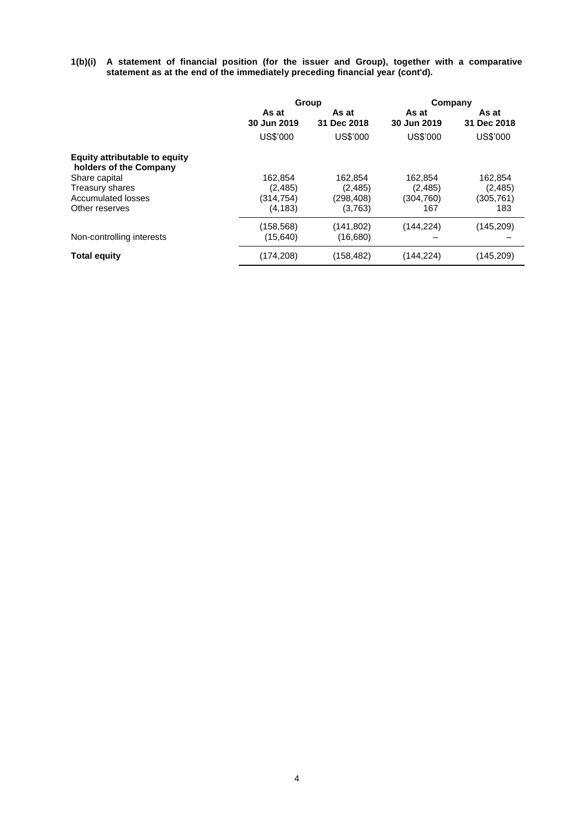**1(b)(i) A statement of financial position (for the issuer and Group), together with a comparative statement as at the end of the immediately preceding financial year (cont'd).**

|                                                                |                        | Group                  | Company              |                      |  |
|----------------------------------------------------------------|------------------------|------------------------|----------------------|----------------------|--|
|                                                                | As at<br>30 Jun 2019   | As at<br>31 Dec 2018   | As at<br>30 Jun 2019 | As at<br>31 Dec 2018 |  |
|                                                                | US\$'000               | US\$'000               | US\$'000             | US\$'000             |  |
| <b>Equity attributable to equity</b><br>holders of the Company |                        |                        |                      |                      |  |
| Share capital                                                  | 162.854                | 162.854                | 162.854              | 162.854              |  |
| Treasury shares                                                | (2, 485)               | (2, 485)               | (2, 485)             | (2, 485)             |  |
| Accumulated losses                                             | (314, 754)             | (298, 408)             | (304, 760)           | (305,761)            |  |
| Other reserves                                                 | (4, 183)               | (3,763)                | 167                  | 183                  |  |
| Non-controlling interests                                      | (158,568)<br>(15, 640) | (141, 802)<br>(16,680) | (144, 224)           | (145, 209)           |  |
| <b>Total equity</b>                                            | (174,208)              | (158, 482)             | (144, 224)           | (145, 209)           |  |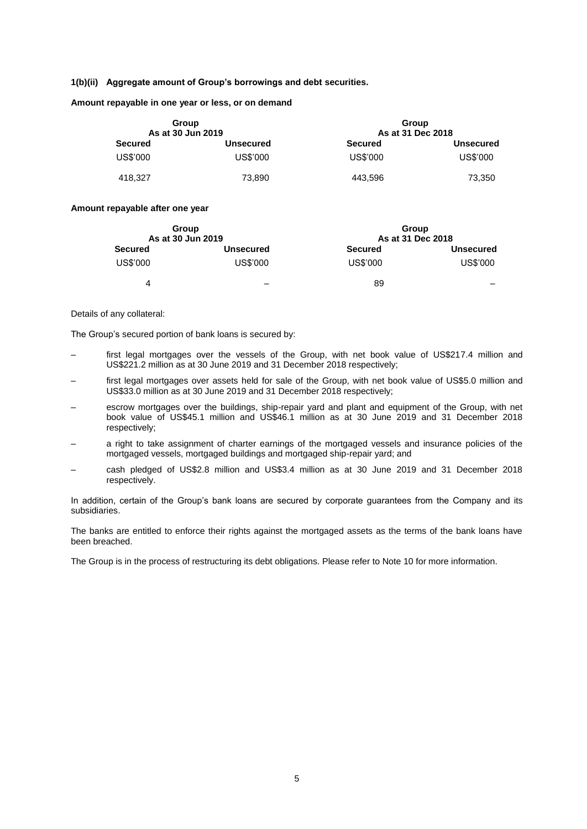### **1(b)(ii) Aggregate amount of Group's borrowings and debt securities.**

**Amount repayable in one year or less, or on demand**

| Group<br>As at 30 Jun 2019 |                  | Group<br>As at 31 Dec 2018 |                  |  |  |  |
|----------------------------|------------------|----------------------------|------------------|--|--|--|
| <b>Secured</b>             | <b>Unsecured</b> | <b>Secured</b>             | <b>Unsecured</b> |  |  |  |
| US\$'000                   | US\$'000         | US\$'000                   | US\$'000         |  |  |  |
| 418.327                    | 73,890           | 443.596                    | 73,350           |  |  |  |

#### **Amount repayable after one year**

| Group             |                  | Group             |                  |
|-------------------|------------------|-------------------|------------------|
| As at 30 Jun 2019 |                  | As at 31 Dec 2018 |                  |
| <b>Secured</b>    | <b>Unsecured</b> | <b>Secured</b>    | <b>Unsecured</b> |
| US\$'000          | US\$'000         | US\$'000          | US\$'000         |
| 4                 | -                | 89                | _                |

### Details of any collateral:

The Group's secured portion of bank loans is secured by:

- first legal mortgages over the vessels of the Group, with net book value of US\$217.4 million and US\$221.2 million as at 30 June 2019 and 31 December 2018 respectively;
- first legal mortgages over assets held for sale of the Group, with net book value of US\$5.0 million and US\$33.0 million as at 30 June 2019 and 31 December 2018 respectively;
- escrow mortgages over the buildings, ship-repair yard and plant and equipment of the Group, with net book value of US\$45.1 million and US\$46.1 million as at 30 June 2019 and 31 December 2018 respectively;
- a right to take assignment of charter earnings of the mortgaged vessels and insurance policies of the mortgaged vessels, mortgaged buildings and mortgaged ship-repair yard; and
- cash pledged of US\$2.8 million and US\$3.4 million as at 30 June 2019 and 31 December 2018 respectively.

In addition, certain of the Group's bank loans are secured by corporate guarantees from the Company and its subsidiaries.

The banks are entitled to enforce their rights against the mortgaged assets as the terms of the bank loans have been breached.

The Group is in the process of restructuring its debt obligations. Please refer to Note 10 for more information.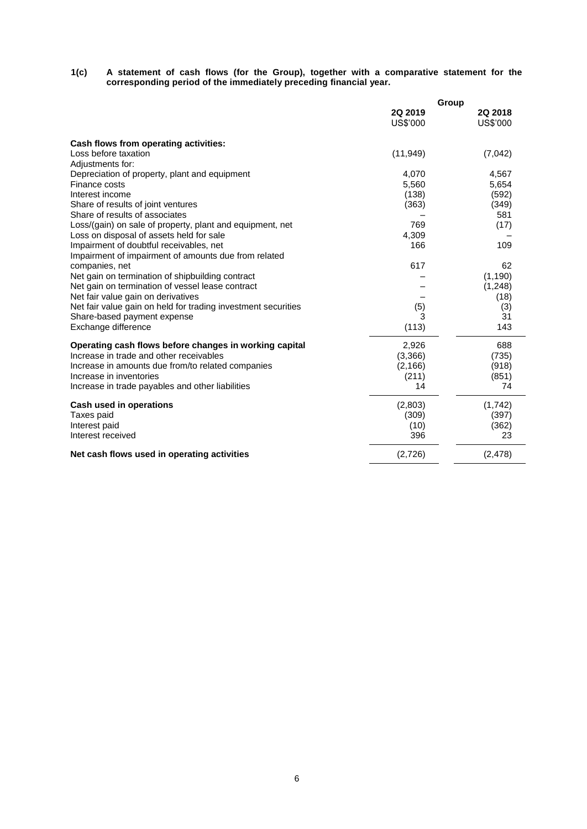### **1(c) A statement of cash flows (for the Group), together with a comparative statement for the corresponding period of the immediately preceding financial year.**

|                                                               | Group     |          |  |  |
|---------------------------------------------------------------|-----------|----------|--|--|
|                                                               | 2Q 2019   | 2Q 2018  |  |  |
|                                                               | US\$'000  | US\$'000 |  |  |
| Cash flows from operating activities:                         |           |          |  |  |
| Loss before taxation                                          | (11, 949) | (7,042)  |  |  |
| Adjustments for:                                              |           |          |  |  |
| Depreciation of property, plant and equipment                 | 4,070     | 4,567    |  |  |
| Finance costs                                                 | 5,560     | 5,654    |  |  |
| Interest income                                               | (138)     | (592)    |  |  |
| Share of results of joint ventures                            | (363)     | (349)    |  |  |
| Share of results of associates                                |           | 581      |  |  |
| Loss/(gain) on sale of property, plant and equipment, net     | 769       | (17)     |  |  |
| Loss on disposal of assets held for sale                      | 4,309     |          |  |  |
| Impairment of doubtful receivables, net                       | 166       | 109      |  |  |
| Impairment of impairment of amounts due from related          |           |          |  |  |
| companies, net                                                | 617       | 62       |  |  |
| Net gain on termination of shipbuilding contract              |           | (1, 190) |  |  |
| Net gain on termination of vessel lease contract              |           | (1, 248) |  |  |
| Net fair value gain on derivatives                            |           | (18)     |  |  |
| Net fair value gain on held for trading investment securities | (5)       | (3)      |  |  |
| Share-based payment expense                                   | 3         | 31       |  |  |
| Exchange difference                                           | (113)     | 143      |  |  |
| Operating cash flows before changes in working capital        | 2,926     | 688      |  |  |
| Increase in trade and other receivables                       | (3,366)   | (735)    |  |  |
| Increase in amounts due from/to related companies             | (2, 166)  | (918)    |  |  |
| Increase in inventories                                       | (211)     | (851)    |  |  |
| Increase in trade payables and other liabilities              | 14        | 74       |  |  |
| Cash used in operations                                       | (2,803)   | (1,742)  |  |  |
| Taxes paid                                                    | (309)     | (397)    |  |  |
| Interest paid                                                 | (10)      | (362)    |  |  |
| Interest received                                             | 396       | 23       |  |  |
| Net cash flows used in operating activities                   | (2,726)   | (2, 478) |  |  |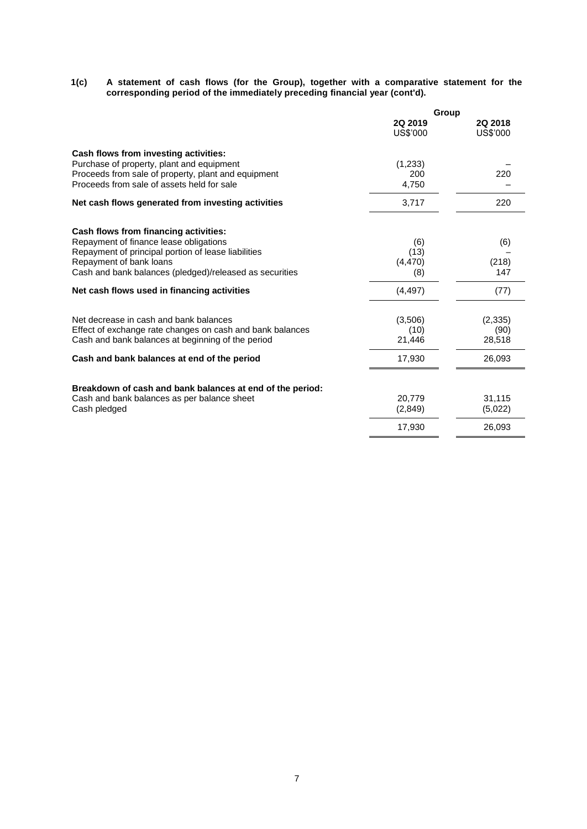#### **1(c) A statement of cash flows (for the Group), together with a comparative statement for the corresponding period of the immediately preceding financial year (cont'd).**

|                                                                                                   | Group               |                     |  |
|---------------------------------------------------------------------------------------------------|---------------------|---------------------|--|
|                                                                                                   | 2Q 2019<br>US\$'000 | 2Q 2018<br>US\$'000 |  |
| Cash flows from investing activities:                                                             |                     |                     |  |
| Purchase of property, plant and equipment                                                         | (1,233)             |                     |  |
| Proceeds from sale of property, plant and equipment<br>Proceeds from sale of assets held for sale | 200<br>4,750        | 220                 |  |
|                                                                                                   |                     |                     |  |
| Net cash flows generated from investing activities                                                | 3,717               | 220                 |  |
| Cash flows from financing activities:                                                             |                     |                     |  |
| Repayment of finance lease obligations                                                            | (6)                 | (6)                 |  |
| Repayment of principal portion of lease liabilities                                               | (13)                |                     |  |
| Repayment of bank loans                                                                           | (4, 470)            | (218)               |  |
| Cash and bank balances (pledged)/released as securities                                           | (8)                 | 147                 |  |
| Net cash flows used in financing activities                                                       | (4, 497)            | (77)                |  |
| Net decrease in cash and bank balances                                                            | (3,506)             | (2, 335)            |  |
| Effect of exchange rate changes on cash and bank balances                                         | (10)                | (90)                |  |
| Cash and bank balances at beginning of the period                                                 | 21,446              | 28,518              |  |
| Cash and bank balances at end of the period                                                       | 17,930              | 26,093              |  |
|                                                                                                   |                     |                     |  |
| Breakdown of cash and bank balances at end of the period:                                         |                     |                     |  |
| Cash and bank balances as per balance sheet                                                       | 20.779              | 31,115              |  |
| Cash pledged                                                                                      | (2,849)             | (5,022)             |  |
|                                                                                                   | 17,930              | 26,093              |  |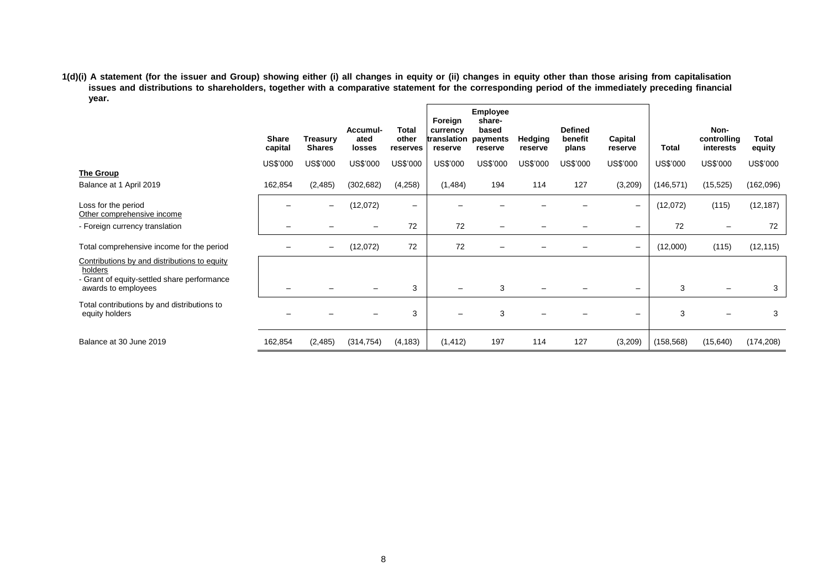**1(d)(i) A statement (for the issuer and Group) showing either (i) all changes in equity or (ii) changes in equity other than those arising from capitalisation issues and distributions to shareholders, together with a comparative statement for the corresponding period of the immediately preceding financial year.**  $\overline{a}$ 

|                                                                                                                               | <b>Share</b><br>capital | Treasury<br><b>Shares</b> | Accumul-<br>ated<br>losses | <b>Total</b><br>other<br>reserves | Foreign<br>currency<br>translation payments<br>reserve | <b>Employee</b><br>share-<br>based<br>reserve | <b>Hedging</b><br>reserve | <b>Defined</b><br>benefit<br>plans | Capital<br>reserve       | <b>Total</b> | Non-<br>controlling<br>interests | Total<br>equity |
|-------------------------------------------------------------------------------------------------------------------------------|-------------------------|---------------------------|----------------------------|-----------------------------------|--------------------------------------------------------|-----------------------------------------------|---------------------------|------------------------------------|--------------------------|--------------|----------------------------------|-----------------|
|                                                                                                                               | US\$'000                | US\$'000                  | US\$'000                   | US\$'000                          | US\$'000                                               | US\$'000                                      | US\$'000                  | US\$'000                           | US\$'000                 | US\$'000     | US\$'000                         | US\$'000        |
| The Group                                                                                                                     |                         |                           |                            |                                   |                                                        |                                               |                           |                                    |                          |              |                                  |                 |
| Balance at 1 April 2019                                                                                                       | 162,854                 | (2,485)                   | (302, 682)                 | (4,258)                           | (1, 484)                                               | 194                                           | 114                       | 127                                | (3,209)                  | (146, 571)   | (15, 525)                        | (162,096)       |
| Loss for the period<br>Other comprehensive income                                                                             | —                       | —                         | (12,072)                   | $\overline{\phantom{m}}$          |                                                        |                                               |                           |                                    | $\qquad \qquad -$        | (12,072)     | (115)                            | (12, 187)       |
| - Foreign currency translation                                                                                                |                         |                           |                            | 72                                | 72                                                     |                                               |                           |                                    | $\overline{\phantom{0}}$ | 72           |                                  | 72              |
| Total comprehensive income for the period                                                                                     |                         | $\qquad \qquad -$         | (12,072)                   | 72                                | 72                                                     |                                               |                           |                                    | $\overline{\phantom{m}}$ | (12,000)     | (115)                            | (12, 115)       |
| Contributions by and distributions to equity<br>holders<br>- Grant of equity-settled share performance<br>awards to employees |                         |                           |                            | 3                                 |                                                        | 3                                             |                           |                                    | —                        | 3            |                                  | 3               |
| Total contributions by and distributions to<br>equity holders                                                                 |                         |                           |                            | 3                                 |                                                        | 3                                             |                           |                                    | $\overline{\phantom{0}}$ | 3            |                                  | 3               |
| Balance at 30 June 2019                                                                                                       | 162,854                 | (2,485)                   | (314, 754)                 | (4, 183)                          | (1, 412)                                               | 197                                           | 114                       | 127                                | (3,209)                  | (158, 568)   | (15, 640)                        | (174, 208)      |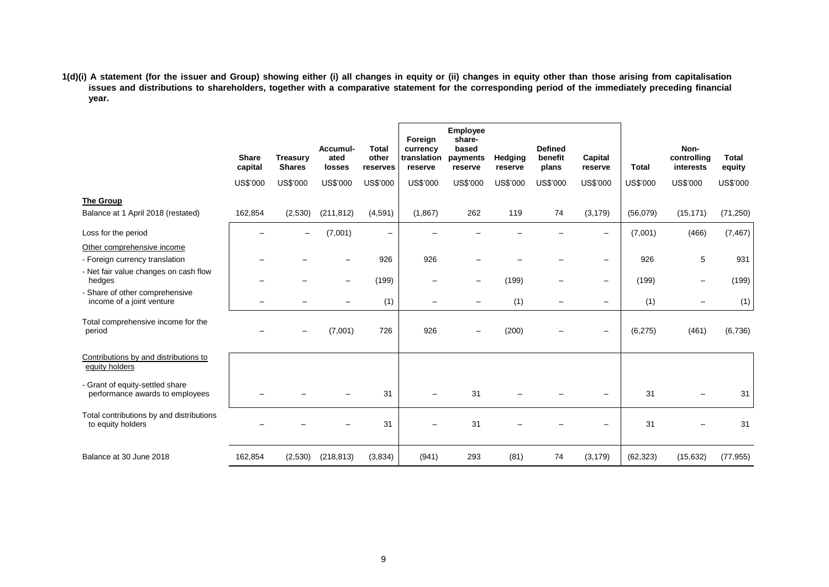**1(d)(i) A statement (for the issuer and Group) showing either (i) all changes in equity or (ii) changes in equity other than those arising from capitalisation issues and distributions to shareholders, together with a comparative statement for the corresponding period of the immediately preceding financial year.**

|                                                                                                       | <b>Share</b><br>capital | <b>Treasury</b><br><b>Shares</b> | Accumul-<br>ated<br>losses | <b>Total</b><br>other<br>reserves | Foreign<br>currency<br>translation<br>reserve | Employee<br>share-<br>based<br>payments<br>reserve | Hedging<br>reserve | <b>Defined</b><br>benefit<br>plans | Capital<br>reserve       | <b>Total</b> | Non-<br>controlling<br>interests | <b>Total</b><br>equity |
|-------------------------------------------------------------------------------------------------------|-------------------------|----------------------------------|----------------------------|-----------------------------------|-----------------------------------------------|----------------------------------------------------|--------------------|------------------------------------|--------------------------|--------------|----------------------------------|------------------------|
|                                                                                                       | US\$'000                | US\$'000                         | US\$'000                   | <b>US\$'000</b>                   | US\$'000                                      | US\$'000                                           | US\$'000           | US\$'000                           | US\$'000                 | US\$'000     | US\$'000                         | US\$'000               |
| <b>The Group</b><br>Balance at 1 April 2018 (restated)                                                | 162,854                 | (2,530)                          | (211, 812)                 | (4,591)                           | (1,867)                                       | 262                                                | 119                | 74                                 | (3, 179)                 | (56,079)     | (15, 171)                        | (71, 250)              |
| Loss for the period                                                                                   |                         |                                  | (7,001)                    | $\overline{\phantom{m}}$          |                                               |                                                    |                    |                                    | $\!-$                    | (7,001)      | (466)                            | (7, 467)               |
| Other comprehensive income<br>- Foreign currency translation<br>- Net fair value changes on cash flow |                         |                                  |                            | 926                               | 926                                           |                                                    |                    |                                    | $\overline{\phantom{m}}$ | 926          | 5                                | 931                    |
| hedges                                                                                                |                         |                                  |                            | (199)                             |                                               | $\overline{\phantom{m}}$                           | (199)              | $\overline{\phantom{0}}$           | $\qquad \qquad -$        | (199)        |                                  | (199)                  |
| - Share of other comprehensive<br>income of a joint venture                                           |                         |                                  |                            | (1)                               |                                               |                                                    | (1)                |                                    | $\qquad \qquad -$        | (1)          |                                  | (1)                    |
| Total comprehensive income for the<br>period                                                          |                         |                                  | (7,001)                    | 726                               | 926                                           |                                                    | (200)              |                                    | $\overline{\phantom{m}}$ | (6, 275)     | (461)                            | (6,736)                |
| Contributions by and distributions to<br>equity holders                                               |                         |                                  |                            |                                   |                                               |                                                    |                    |                                    |                          |              |                                  |                        |
| - Grant of equity-settled share<br>performance awards to employees                                    |                         |                                  |                            | 31                                |                                               | 31                                                 |                    |                                    |                          | 31           |                                  | 31                     |
| Total contributions by and distributions<br>to equity holders                                         |                         |                                  |                            | 31                                |                                               | 31                                                 |                    |                                    |                          | 31           |                                  | 31                     |
| Balance at 30 June 2018                                                                               | 162,854                 | (2,530)                          | (218, 813)                 | (3,834)                           | (941)                                         | 293                                                | (81)               | 74                                 | (3, 179)                 | (62, 323)    | (15, 632)                        | (77, 955)              |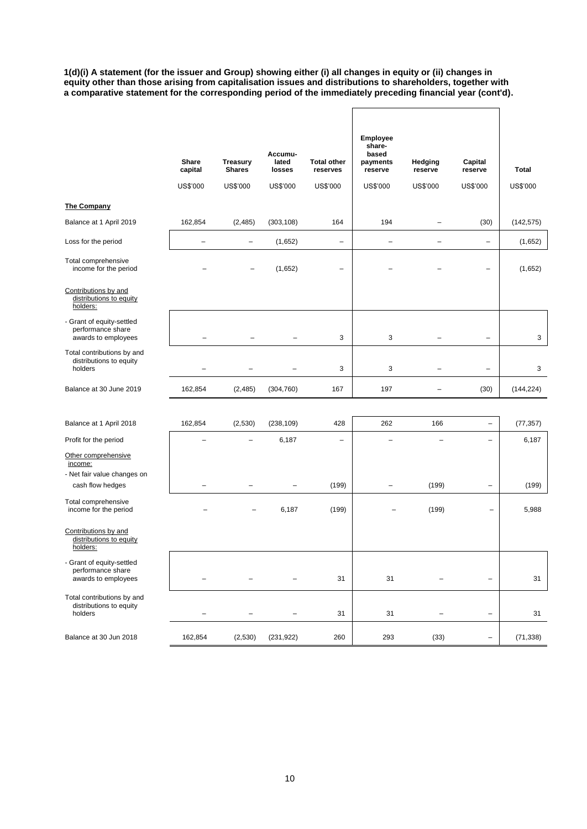**1(d)(i) A statement (for the issuer and Group) showing either (i) all changes in equity or (ii) changes in equity other than those arising from capitalisation issues and distributions to shareholders, together with a comparative statement for the corresponding period of the immediately preceding financial year (cont'd).**

|                                                                       | Share<br>capital<br>US\$'000 | <b>Treasury</b><br><b>Shares</b><br>US\$'000 | Accumu-<br>lated<br>losses<br>US\$'000 | <b>Total other</b><br>reserves<br>US\$'000 | Employee<br>share-<br>based<br>payments<br>reserve<br>US\$'000 | Hedging<br>reserve<br>US\$'000 | Capital<br>reserve<br>US\$'000 | <b>Total</b><br>US\$'000 |
|-----------------------------------------------------------------------|------------------------------|----------------------------------------------|----------------------------------------|--------------------------------------------|----------------------------------------------------------------|--------------------------------|--------------------------------|--------------------------|
| The Company                                                           |                              |                                              |                                        |                                            |                                                                |                                |                                |                          |
| Balance at 1 April 2019                                               | 162,854                      | (2, 485)                                     | (303, 108)                             | 164                                        | 194                                                            | -                              | (30)                           | (142, 575)               |
| Loss for the period                                                   | $\equiv$                     | $\qquad \qquad -$                            | (1,652)                                | $\overline{\phantom{m}}$                   | $\overline{\phantom{0}}$                                       | $\overline{\phantom{0}}$       | $\overline{\phantom{0}}$       | (1,652)                  |
| Total comprehensive<br>income for the period                          |                              |                                              | (1,652)                                |                                            |                                                                |                                | $\overline{\phantom{0}}$       | (1,652)                  |
| Contributions by and<br>distributions to equity<br>holders:           |                              |                                              |                                        |                                            |                                                                |                                |                                |                          |
| - Grant of equity-settled<br>performance share<br>awards to employees |                              | $\overline{\phantom{a}}$                     | L.                                     | 3                                          | 3                                                              |                                | $\overline{\phantom{0}}$       | 3                        |
| Total contributions by and<br>distributions to equity<br>holders      |                              |                                              |                                        | 3                                          | 3                                                              |                                | $\overline{\phantom{0}}$       | 3                        |
| Balance at 30 June 2019                                               | 162,854                      | (2,485)                                      | (304, 760)                             | 167                                        | 197                                                            | ۳                              | (30)                           | (144, 224)               |
|                                                                       |                              |                                              |                                        |                                            |                                                                |                                |                                |                          |
| Balance at 1 April 2018                                               | 162,854                      | (2,530)                                      | (238, 109)                             | 428                                        | 262                                                            | 166                            | $\qquad \qquad -$              | (77, 357)                |
| Profit for the period                                                 |                              |                                              | 6,187                                  | $\overline{\phantom{a}}$                   |                                                                |                                | $\overline{\phantom{0}}$       | 6,187                    |
| Other comprehensive<br>income:                                        |                              |                                              |                                        |                                            |                                                                |                                |                                |                          |
| - Net fair value changes on<br>cash flow hedges                       |                              |                                              |                                        | (199)                                      | -                                                              | (199)                          | $\qquad \qquad -$              | (199)                    |
| Total comprehensive<br>income for the period                          |                              |                                              | 6,187                                  | (199)                                      |                                                                | (199)                          | -                              | 5,988                    |
| Contributions by and<br>distributions to equity<br>holders:           |                              |                                              |                                        |                                            |                                                                |                                |                                |                          |
| - Grant of equity-settled<br>performance share<br>awards to employees |                              |                                              |                                        | 31                                         | 31                                                             |                                | $\qquad \qquad -$              | 31                       |
| Total contributions by and<br>distributions to equity<br>holders      | $\overline{\phantom{0}}$     |                                              |                                        | 31                                         | 31                                                             | $\overline{\phantom{0}}$       | $\qquad \qquad -$              | 31                       |
| Balance at 30 Jun 2018                                                | 162,854                      | (2,530)                                      | (231, 922)                             | 260                                        | 293                                                            | (33)                           | $\qquad \qquad -$              | (71, 338)                |
|                                                                       |                              |                                              |                                        |                                            |                                                                |                                |                                |                          |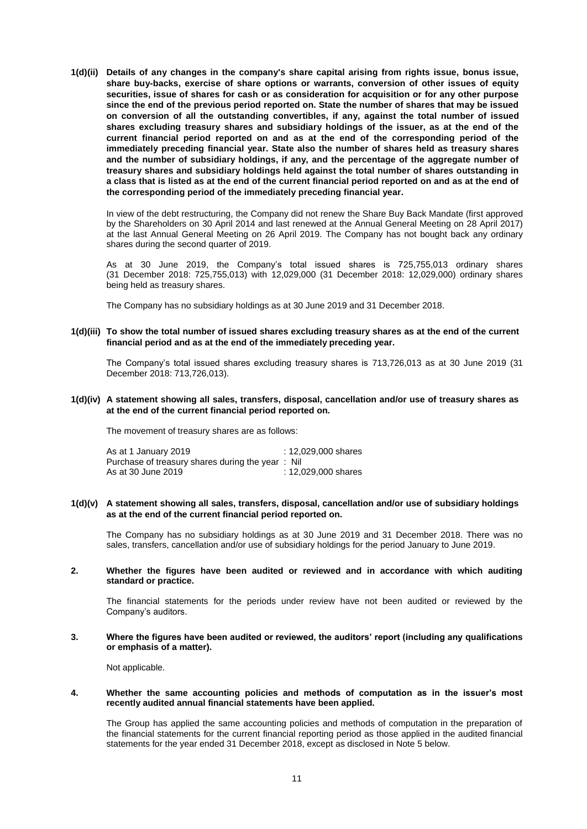**1(d)(ii) Details of any changes in the company's share capital arising from rights issue, bonus issue, share buy-backs, exercise of share options or warrants, conversion of other issues of equity securities, issue of shares for cash or as consideration for acquisition or for any other purpose since the end of the previous period reported on. State the number of shares that may be issued on conversion of all the outstanding convertibles, if any, against the total number of issued shares excluding treasury shares and subsidiary holdings of the issuer, as at the end of the current financial period reported on and as at the end of the corresponding period of the immediately preceding financial year. State also the number of shares held as treasury shares and the number of subsidiary holdings, if any, and the percentage of the aggregate number of treasury shares and subsidiary holdings held against the total number of shares outstanding in a class that is listed as at the end of the current financial period reported on and as at the end of the corresponding period of the immediately preceding financial year.**

In view of the debt restructuring, the Company did not renew the Share Buy Back Mandate (first approved by the Shareholders on 30 April 2014 and last renewed at the Annual General Meeting on 28 April 2017) at the last Annual General Meeting on 26 April 2019. The Company has not bought back any ordinary shares during the second quarter of 2019.

As at 30 June 2019, the Company's total issued shares is 725,755,013 ordinary shares (31 December 2018: 725,755,013) with 12,029,000 (31 December 2018: 12,029,000) ordinary shares being held as treasury shares.

The Company has no subsidiary holdings as at 30 June 2019 and 31 December 2018.

### **1(d)(iii) To show the total number of issued shares excluding treasury shares as at the end of the current financial period and as at the end of the immediately preceding year.**

The Company's total issued shares excluding treasury shares is 713,726,013 as at 30 June 2019 (31 December 2018: 713,726,013).

### **1(d)(iv) A statement showing all sales, transfers, disposal, cancellation and/or use of treasury shares as at the end of the current financial period reported on.**

The movement of treasury shares are as follows:

As at 1 January 2019 : 12,029,000 shares Purchase of treasury shares during the year : Nil As at 30 June 2019 : 12,029,000 shares

### **1(d)(v) A statement showing all sales, transfers, disposal, cancellation and/or use of subsidiary holdings as at the end of the current financial period reported on.**

The Company has no subsidiary holdings as at 30 June 2019 and 31 December 2018. There was no sales, transfers, cancellation and/or use of subsidiary holdings for the period January to June 2019.

### **2. Whether the figures have been audited or reviewed and in accordance with which auditing standard or practice.**

The financial statements for the periods under review have not been audited or reviewed by the Company's auditors.

#### **3. Where the figures have been audited or reviewed, the auditors' report (including any qualifications or emphasis of a matter).**

Not applicable.

#### **4. Whether the same accounting policies and methods of computation as in the issuer's most recently audited annual financial statements have been applied.**

The Group has applied the same accounting policies and methods of computation in the preparation of the financial statements for the current financial reporting period as those applied in the audited financial statements for the year ended 31 December 2018, except as disclosed in Note 5 below.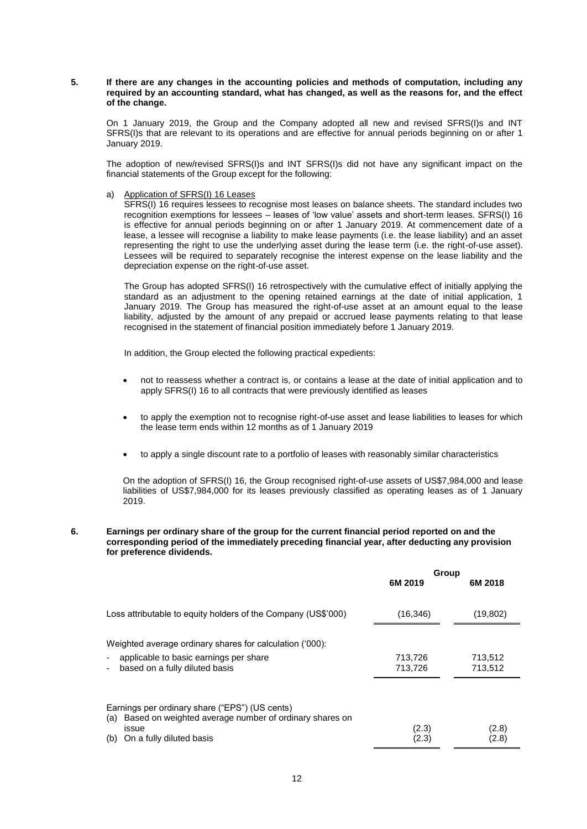### **5. If there are any changes in the accounting policies and methods of computation, including any required by an accounting standard, what has changed, as well as the reasons for, and the effect of the change.**

On 1 January 2019, the Group and the Company adopted all new and revised SFRS(I)s and INT SFRS(I)s that are relevant to its operations and are effective for annual periods beginning on or after 1 January 2019.

The adoption of new/revised SFRS(I)s and INT SFRS(I)s did not have any significant impact on the financial statements of the Group except for the following:

a) Application of SFRS(I) 16 Leases

SFRS(I) 16 requires lessees to recognise most leases on balance sheets. The standard includes two recognition exemptions for lessees – leases of 'low value' assets and short-term leases. SFRS(I) 16 is effective for annual periods beginning on or after 1 January 2019. At commencement date of a lease, a lessee will recognise a liability to make lease payments (i.e. the lease liability) and an asset representing the right to use the underlying asset during the lease term (i.e. the right-of-use asset). Lessees will be required to separately recognise the interest expense on the lease liability and the depreciation expense on the right-of-use asset.

The Group has adopted SFRS(I) 16 retrospectively with the cumulative effect of initially applying the standard as an adjustment to the opening retained earnings at the date of initial application, 1 January 2019. The Group has measured the right-of-use asset at an amount equal to the lease liability, adjusted by the amount of any prepaid or accrued lease payments relating to that lease recognised in the statement of financial position immediately before 1 January 2019.

In addition, the Group elected the following practical expedients:

- not to reassess whether a contract is, or contains a lease at the date of initial application and to apply SFRS(I) 16 to all contracts that were previously identified as leases
- to apply the exemption not to recognise right-of-use asset and lease liabilities to leases for which the lease term ends within 12 months as of 1 January 2019
- to apply a single discount rate to a portfolio of leases with reasonably similar characteristics

On the adoption of SFRS(I) 16, the Group recognised right-of-use assets of US\$7,984,000 and lease liabilities of US\$7,984,000 for its leases previously classified as operating leases as of 1 January 2019.

#### **6. Earnings per ordinary share of the group for the current financial period reported on and the corresponding period of the immediately preceding financial year, after deducting any provision for preference dividends.**

|                                                                                                                                                             | Group<br>6M 2019   | 6M 2018            |
|-------------------------------------------------------------------------------------------------------------------------------------------------------------|--------------------|--------------------|
| Loss attributable to equity holders of the Company (US\$'000)                                                                                               | (16, 346)          | (19, 802)          |
| Weighted average ordinary shares for calculation ('000):<br>applicable to basic earnings per share<br>based on a fully diluted basis                        | 713,726<br>713,726 | 713,512<br>713,512 |
| Earnings per ordinary share ("EPS") (US cents)<br>Based on weighted average number of ordinary shares on<br>(a)<br>issue<br>On a fully diluted basis<br>(b) | (2.3)<br>(2.3)     | (2.8)<br>(2.8)     |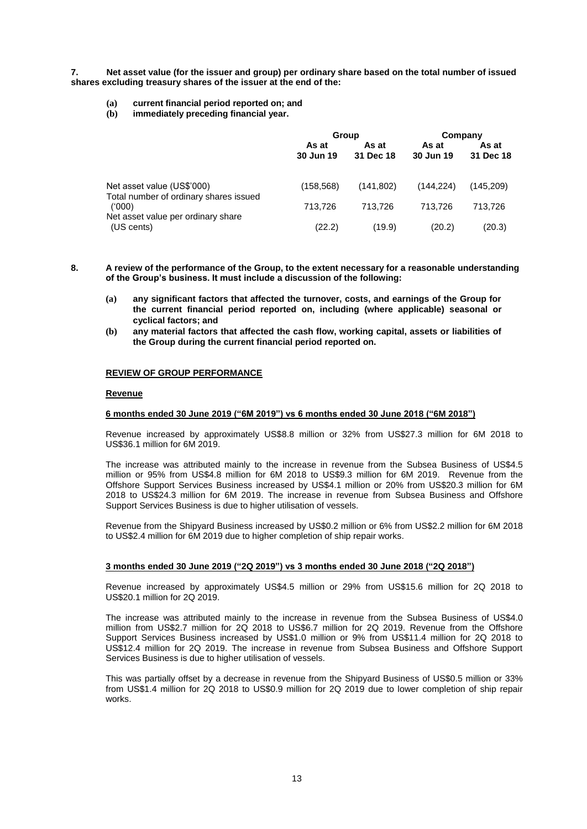**7. Net asset value (for the issuer and group) per ordinary share based on the total number of issued shares excluding treasury shares of the issuer at the end of the:**

- **(a) current financial period reported on; and**
- **(b) immediately preceding financial year.**

|                                                                      | Group              |                    | Company            |                    |
|----------------------------------------------------------------------|--------------------|--------------------|--------------------|--------------------|
|                                                                      | As at<br>30 Jun 19 | As at<br>31 Dec 18 | As at<br>30 Jun 19 | As at<br>31 Dec 18 |
| Net asset value (US\$'000)<br>Total number of ordinary shares issued | (158, 568)         | (141, 802)         | (144.224)          | (145.209)          |
| (000)<br>Net asset value per ordinary share                          | 713.726            | 713.726            | 713.726            | 713.726            |
| (US cents)                                                           | (22.2)             | (19.9)             | (20.2)             | (20.3)             |

- **8. A review of the performance of the Group, to the extent necessary for a reasonable understanding of the Group's business. It must include a discussion of the following:**
	- **(a) any significant factors that affected the turnover, costs, and earnings of the Group for the current financial period reported on, including (where applicable) seasonal or cyclical factors; and**
	- **(b) any material factors that affected the cash flow, working capital, assets or liabilities of the Group during the current financial period reported on.**

#### **REVIEW OF GROUP PERFORMANCE**

#### **Revenue**

### **6 months ended 30 June 2019 ("6M 2019") vs 6 months ended 30 June 2018 ("6M 2018")**

Revenue increased by approximately US\$8.8 million or 32% from US\$27.3 million for 6M 2018 to US\$36.1 million for 6M 2019.

The increase was attributed mainly to the increase in revenue from the Subsea Business of US\$4.5 million or 95% from US\$4.8 million for 6M 2018 to US\$9.3 million for 6M 2019. Revenue from the Offshore Support Services Business increased by US\$4.1 million or 20% from US\$20.3 million for 6M 2018 to US\$24.3 million for 6M 2019. The increase in revenue from Subsea Business and Offshore Support Services Business is due to higher utilisation of vessels.

Revenue from the Shipyard Business increased by US\$0.2 million or 6% from US\$2.2 million for 6M 2018 to US\$2.4 million for 6M 2019 due to higher completion of ship repair works.

### **3 months ended 30 June 2019 ("2Q 2019") vs 3 months ended 30 June 2018 ("2Q 2018")**

Revenue increased by approximately US\$4.5 million or 29% from US\$15.6 million for 2Q 2018 to US\$20.1 million for 2Q 2019.

The increase was attributed mainly to the increase in revenue from the Subsea Business of US\$4.0 million from US\$2.7 million for 2Q 2018 to US\$6.7 million for 2Q 2019. Revenue from the Offshore Support Services Business increased by US\$1.0 million or 9% from US\$11.4 million for 2Q 2018 to US\$12.4 million for 2Q 2019. The increase in revenue from Subsea Business and Offshore Support Services Business is due to higher utilisation of vessels.

This was partially offset by a decrease in revenue from the Shipyard Business of US\$0.5 million or 33% from US\$1.4 million for 2Q 2018 to US\$0.9 million for 2Q 2019 due to lower completion of ship repair works.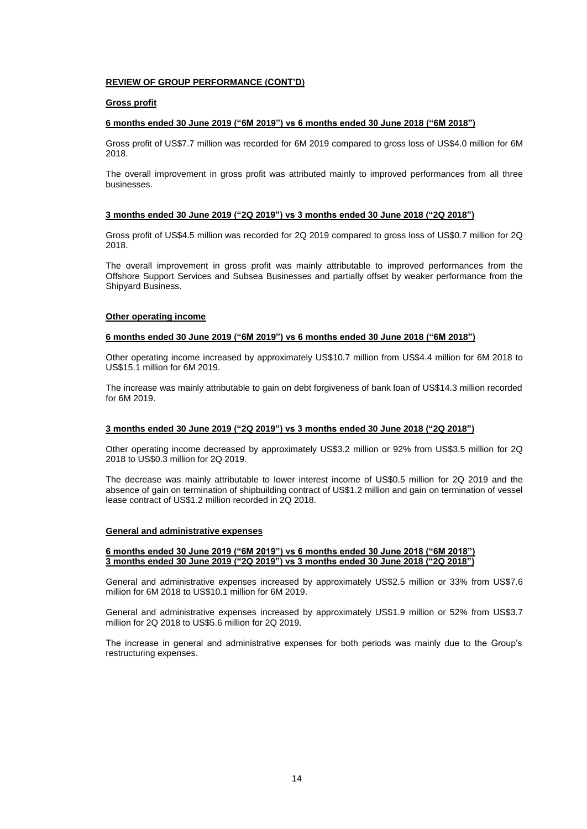### **REVIEW OF GROUP PERFORMANCE (CONT'D)**

### **Gross profit**

### **6 months ended 30 June 2019 ("6M 2019") vs 6 months ended 30 June 2018 ("6M 2018")**

Gross profit of US\$7.7 million was recorded for 6M 2019 compared to gross loss of US\$4.0 million for 6M 2018.

The overall improvement in gross profit was attributed mainly to improved performances from all three businesses.

#### **3 months ended 30 June 2019 ("2Q 2019") vs 3 months ended 30 June 2018 ("2Q 2018")**

Gross profit of US\$4.5 million was recorded for 2Q 2019 compared to gross loss of US\$0.7 million for 2Q 2018.

The overall improvement in gross profit was mainly attributable to improved performances from the Offshore Support Services and Subsea Businesses and partially offset by weaker performance from the Shipyard Business.

#### **Other operating income**

#### **6 months ended 30 June 2019 ("6M 2019") vs 6 months ended 30 June 2018 ("6M 2018")**

Other operating income increased by approximately US\$10.7 million from US\$4.4 million for 6M 2018 to US\$15.1 million for 6M 2019.

The increase was mainly attributable to gain on debt forgiveness of bank loan of US\$14.3 million recorded for 6M 2019.

#### **3 months ended 30 June 2019 ("2Q 2019") vs 3 months ended 30 June 2018 ("2Q 2018")**

Other operating income decreased by approximately US\$3.2 million or 92% from US\$3.5 million for 2Q 2018 to US\$0.3 million for 2Q 2019.

The decrease was mainly attributable to lower interest income of US\$0.5 million for 2Q 2019 and the absence of gain on termination of shipbuilding contract of US\$1.2 million and gain on termination of vessel lease contract of US\$1.2 million recorded in 2Q 2018.

#### **General and administrative expenses**

#### **6 months ended 30 June 2019 ("6M 2019") vs 6 months ended 30 June 2018 ("6M 2018") 3 months ended 30 June 2019 ("2Q 2019") vs 3 months ended 30 June 2018 ("2Q 2018")**

General and administrative expenses increased by approximately US\$2.5 million or 33% from US\$7.6 million for 6M 2018 to US\$10.1 million for 6M 2019.

General and administrative expenses increased by approximately US\$1.9 million or 52% from US\$3.7 million for 2Q 2018 to US\$5.6 million for 2Q 2019.

The increase in general and administrative expenses for both periods was mainly due to the Group's restructuring expenses.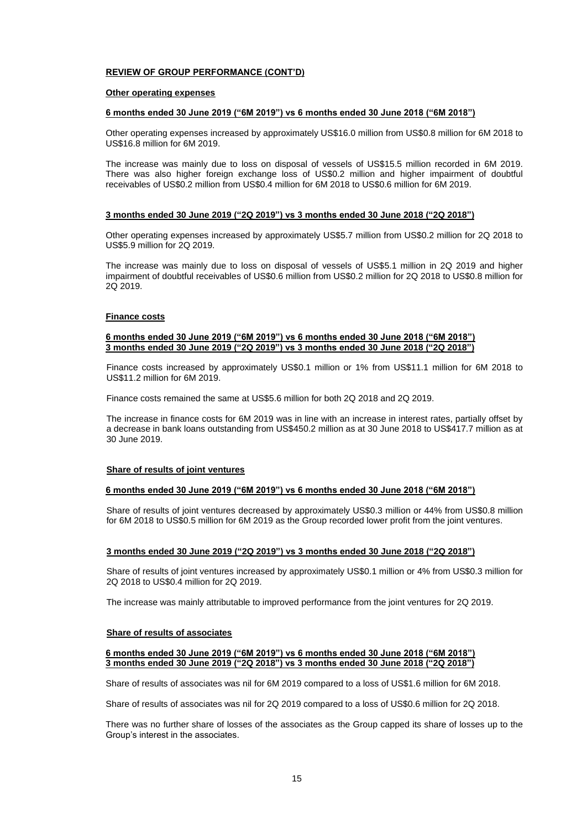### **REVIEW OF GROUP PERFORMANCE (CONT'D)**

#### **Other operating expenses**

#### **6 months ended 30 June 2019 ("6M 2019") vs 6 months ended 30 June 2018 ("6M 2018")**

Other operating expenses increased by approximately US\$16.0 million from US\$0.8 million for 6M 2018 to US\$16.8 million for 6M 2019.

The increase was mainly due to loss on disposal of vessels of US\$15.5 million recorded in 6M 2019. There was also higher foreign exchange loss of US\$0.2 million and higher impairment of doubtful receivables of US\$0.2 million from US\$0.4 million for 6M 2018 to US\$0.6 million for 6M 2019.

#### **3 months ended 30 June 2019 ("2Q 2019") vs 3 months ended 30 June 2018 ("2Q 2018")**

Other operating expenses increased by approximately US\$5.7 million from US\$0.2 million for 2Q 2018 to US\$5.9 million for 2Q 2019.

The increase was mainly due to loss on disposal of vessels of US\$5.1 million in 2Q 2019 and higher impairment of doubtful receivables of US\$0.6 million from US\$0.2 million for 2Q 2018 to US\$0.8 million for 2Q 2019.

#### **Finance costs**

### **6 months ended 30 June 2019 ("6M 2019") vs 6 months ended 30 June 2018 ("6M 2018") 3 months ended 30 June 2019 ("2Q 2019") vs 3 months ended 30 June 2018 ("2Q 2018")**

Finance costs increased by approximately US\$0.1 million or 1% from US\$11.1 million for 6M 2018 to US\$11.2 million for 6M 2019.

Finance costs remained the same at US\$5.6 million for both 2Q 2018 and 2Q 2019.

The increase in finance costs for 6M 2019 was in line with an increase in interest rates, partially offset by a decrease in bank loans outstanding from US\$450.2 million as at 30 June 2018 to US\$417.7 million as at 30 June 2019.

### **Share of results of joint ventures**

### **6 months ended 30 June 2019 ("6M 2019") vs 6 months ended 30 June 2018 ("6M 2018")**

Share of results of joint ventures decreased by approximately US\$0.3 million or 44% from US\$0.8 million for 6M 2018 to US\$0.5 million for 6M 2019 as the Group recorded lower profit from the joint ventures.

### **3 months ended 30 June 2019 ("2Q 2019") vs 3 months ended 30 June 2018 ("2Q 2018")**

Share of results of joint ventures increased by approximately US\$0.1 million or 4% from US\$0.3 million for 2Q 2018 to US\$0.4 million for 2Q 2019.

The increase was mainly attributable to improved performance from the joint ventures for 2Q 2019.

#### **Share of results of associates**

### **6 months ended 30 June 2019 ("6M 2019") vs 6 months ended 30 June 2018 ("6M 2018") 3 months ended 30 June 2019 ("2Q 2018") vs 3 months ended 30 June 2018 ("2Q 2018")**

Share of results of associates was nil for 6M 2019 compared to a loss of US\$1.6 million for 6M 2018.

Share of results of associates was nil for 2Q 2019 compared to a loss of US\$0.6 million for 2Q 2018.

There was no further share of losses of the associates as the Group capped its share of losses up to the Group's interest in the associates.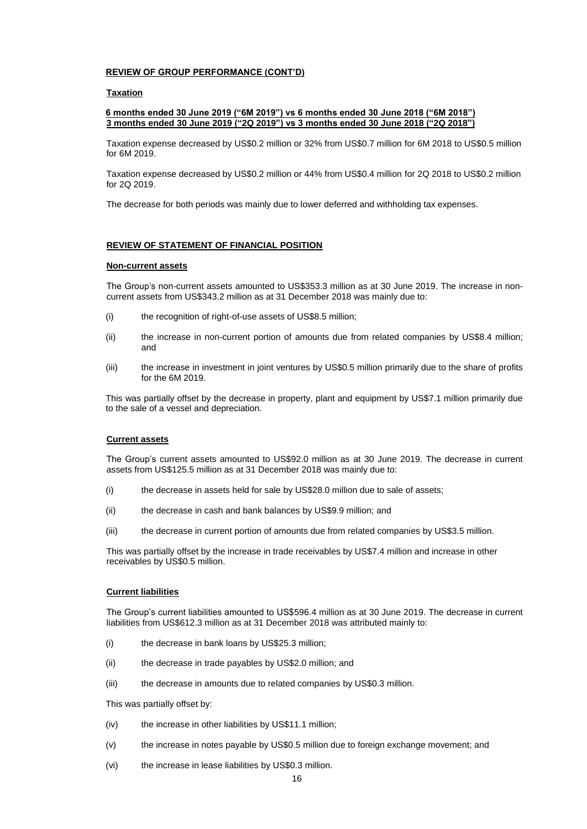### **REVIEW OF GROUP PERFORMANCE (CONT'D)**

### **Taxation**

### **6 months ended 30 June 2019 ("6M 2019") vs 6 months ended 30 June 2018 ("6M 2018") 3 months ended 30 June 2019 ("2Q 2019") vs 3 months ended 30 June 2018 ("2Q 2018")**

Taxation expense decreased by US\$0.2 million or 32% from US\$0.7 million for 6M 2018 to US\$0.5 million for 6M 2019.

Taxation expense decreased by US\$0.2 million or 44% from US\$0.4 million for 2Q 2018 to US\$0.2 million for 2Q 2019.

The decrease for both periods was mainly due to lower deferred and withholding tax expenses.

#### **REVIEW OF STATEMENT OF FINANCIAL POSITION**

### **Non-current assets**

The Group's non-current assets amounted to US\$353.3 million as at 30 June 2019. The increase in noncurrent assets from US\$343.2 million as at 31 December 2018 was mainly due to:

- (i) the recognition of right-of-use assets of US\$8.5 million;
- (ii) the increase in non-current portion of amounts due from related companies by US\$8.4 million; and
- (iii) the increase in investment in joint ventures by US\$0.5 million primarily due to the share of profits for the 6M 2019.

This was partially offset by the decrease in property, plant and equipment by US\$7.1 million primarily due to the sale of a vessel and depreciation.

### **Current assets**

The Group's current assets amounted to US\$92.0 million as at 30 June 2019. The decrease in current assets from US\$125.5 million as at 31 December 2018 was mainly due to:

- (i) the decrease in assets held for sale by US\$28.0 million due to sale of assets;
- (ii) the decrease in cash and bank balances by US\$9.9 million; and
- (iii) the decrease in current portion of amounts due from related companies by US\$3.5 million.

This was partially offset by the increase in trade receivables by US\$7.4 million and increase in other receivables by US\$0.5 million.

#### **Current liabilities**

The Group's current liabilities amounted to US\$596.4 million as at 30 June 2019. The decrease in current liabilities from US\$612.3 million as at 31 December 2018 was attributed mainly to:

- (i) the decrease in bank loans by US\$25.3 million;
- (ii) the decrease in trade payables by US\$2.0 million; and
- (iii) the decrease in amounts due to related companies by US\$0.3 million.

This was partially offset by:

- (iv) the increase in other liabilities by US\$11.1 million;
- (v) the increase in notes payable by US\$0.5 million due to foreign exchange movement; and
- (vi) the increase in lease liabilities by US\$0.3 million.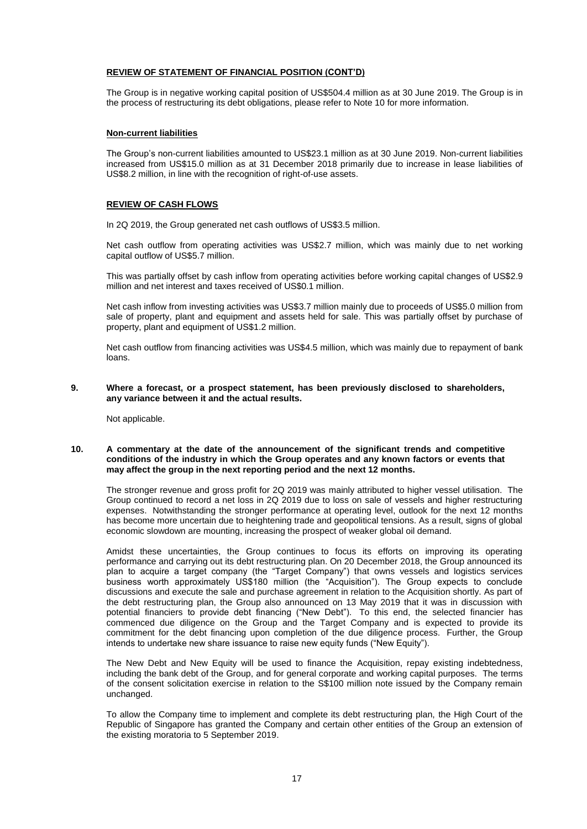### **REVIEW OF STATEMENT OF FINANCIAL POSITION (CONT'D)**

The Group is in negative working capital position of US\$504.4 million as at 30 June 2019. The Group is in the process of restructuring its debt obligations, please refer to Note 10 for more information.

### **Non-current liabilities**

The Group's non-current liabilities amounted to US\$23.1 million as at 30 June 2019. Non-current liabilities increased from US\$15.0 million as at 31 December 2018 primarily due to increase in lease liabilities of US\$8.2 million, in line with the recognition of right-of-use assets.

### **REVIEW OF CASH FLOWS**

In 2Q 2019, the Group generated net cash outflows of US\$3.5 million.

Net cash outflow from operating activities was US\$2.7 million, which was mainly due to net working capital outflow of US\$5.7 million.

This was partially offset by cash inflow from operating activities before working capital changes of US\$2.9 million and net interest and taxes received of US\$0.1 million.

Net cash inflow from investing activities was US\$3.7 million mainly due to proceeds of US\$5.0 million from sale of property, plant and equipment and assets held for sale. This was partially offset by purchase of property, plant and equipment of US\$1.2 million.

Net cash outflow from financing activities was US\$4.5 million, which was mainly due to repayment of bank loans.

**9. Where a forecast, or a prospect statement, has been previously disclosed to shareholders, any variance between it and the actual results.**

Not applicable.

### **10. A commentary at the date of the announcement of the significant trends and competitive conditions of the industry in which the Group operates and any known factors or events that may affect the group in the next reporting period and the next 12 months.**

The stronger revenue and gross profit for 2Q 2019 was mainly attributed to higher vessel utilisation. The Group continued to record a net loss in 2Q 2019 due to loss on sale of vessels and higher restructuring expenses. Notwithstanding the stronger performance at operating level, outlook for the next 12 months has become more uncertain due to heightening trade and geopolitical tensions. As a result, signs of global economic slowdown are mounting, increasing the prospect of weaker global oil demand.

Amidst these uncertainties, the Group continues to focus its efforts on improving its operating performance and carrying out its debt restructuring plan. On 20 December 2018, the Group announced its plan to acquire a target company (the "Target Company") that owns vessels and logistics services business worth approximately US\$180 million (the "Acquisition"). The Group expects to conclude discussions and execute the sale and purchase agreement in relation to the Acquisition shortly. As part of the debt restructuring plan, the Group also announced on 13 May 2019 that it was in discussion with potential financiers to provide debt financing ("New Debt"). To this end, the selected financier has commenced due diligence on the Group and the Target Company and is expected to provide its commitment for the debt financing upon completion of the due diligence process. Further, the Group intends to undertake new share issuance to raise new equity funds ("New Equity").

The New Debt and New Equity will be used to finance the Acquisition, repay existing indebtedness, including the bank debt of the Group, and for general corporate and working capital purposes. The terms of the consent solicitation exercise in relation to the S\$100 million note issued by the Company remain unchanged.

To allow the Company time to implement and complete its debt restructuring plan, the High Court of the Republic of Singapore has granted the Company and certain other entities of the Group an extension of the existing moratoria to 5 September 2019.